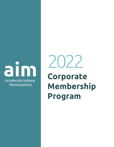

**Corporate Membership Program** 2022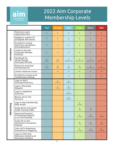

# 2022 Aim Corporate Membership Levels

|             |                                                                          | <b>Teal</b> | Orange               | <b>Aqua</b>          | <b>Green</b>         | <b>Silver</b>       | <b>Red</b>          |
|-------------|--------------------------------------------------------------------------|-------------|----------------------|----------------------|----------------------|---------------------|---------------------|
| Information | Electronic event<br>registration lists                                   |             |                      |                      |                      |                     |                     |
|             | Eligible to register for<br>all eligible Aim events                      |             |                      |                      |                      |                     |                     |
|             | <b>Enrolled to receive</b><br>electronic newsletters<br>and publications |             |                      |                      |                      |                     |                     |
|             | Listed on the Aim<br>Corporate Member<br>Portfolio                       |             |                      |                      |                      |                     |                     |
|             | Handbook for<br><b>Newly Elected</b><br>Municipal Officials              | Digital     | Digital              | Digital & Print      | Digital & Print      | Digital & Print     | Digital & Print     |
|             | Electronic municipal<br>membership list                                  | 3 Lists     | $\bullet$<br>3 Lists | $\bullet$<br>3 Lists | $\bullet$<br>6 Lists | <b>Upon Request</b> | <b>Upon Request</b> |
|             | Listserv observer access                                                 |             | $\bullet$            |                      | $\bullet$            |                     | $\bullet$           |
|             | Enrolled to receive print<br>membership mailings                         |             |                      |                      |                      |                     |                     |
| Advertising | Logo on Aim's<br>Municipal Directory                                     |             | 6 Months             | 6 Months             |                      |                     |                     |
|             | Logo in Municipal<br>Dispatch                                            |             | 6 Issues             | 6 Issues             |                      |                     |                     |
|             | Logo in Legislative<br>Summary                                           |             |                      | All Session          |                      |                     |                     |
|             | Banner Ad on The<br>Terminal                                             |             |                      | 6 Months             |                      |                     |                     |
|             | Logo in Aim membership<br>blast emails                                   |             |                      |                      | 2 Emails             |                     |                     |
|             | Audio Ad for Aim Quick<br><b>Guide Training Video</b>                    |             |                      |                      | 1 Ad                 | 1 Ad                |                     |
|             | Sponsored Content<br>in Municipal Dispatch<br>or on The Terminal         |             |                      |                      | 2 Articles           | 2 Articles          | 2 Articles          |
|             | Audio Ad on Aim<br>Hometown Innovations<br>Podcast                       |             |                      |                      | 1Ad                  | $2$ Ads             | 3 Ads               |
|             | Color Ad in Hometown<br>Innovations E-Magazine                           |             |                      |                      | $1/4$ Page           | 1/2 Page            | <b>Full Page</b>    |
|             | Logo on 2022 Aim<br>Momento mailed to all<br>Municipal members           |             |                      |                      |                      |                     |                     |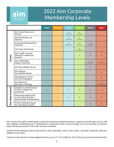

## 2022 Aim Corporate Membership Levels

|                  |                                                                          | <b>Teal</b> | Orange | <b>Aqua</b>         | Green           | <b>Silver</b> | <b>Red</b>          |
|------------------|--------------------------------------------------------------------------|-------------|--------|---------------------|-----------------|---------------|---------------------|
| Events           | Aim Clerk-Treasurers<br>School                                           |             |        | Silver Level        | Gold Level      |               |                     |
|                  | Aim Municipal Law<br>Seminar                                             |             |        | Silver Level        | Gold Level      |               |                     |
|                  | Municipal Management<br>Institute                                        |             |        | <b>Bronze Level</b> | Silver Level    | Gold Level    |                     |
|                  | Hot Topic Workshop                                                       |             |        |                     | 2 Registrations |               |                     |
|                  | Aim Youth Councils<br>Network Leadership<br>Summit                       |             |        |                     |                 |               |                     |
|                  | Aim / Ball State<br>Mayors Institute                                     |             |        |                     |                 | One Session   | <b>Two Sessions</b> |
|                  | Aim Roundtable Series                                                    |             |        |                     |                 | $\bullet$     |                     |
|                  | Aim Mayors<br>Roundtable Series                                          |             |        |                     |                 |               |                     |
|                  | Workshop for Town<br>and City Managers                                   |             |        |                     |                 |               |                     |
|                  | Aim Board of<br>Directors' Meeting                                       |             |        |                     |                 |               | Two Meetings        |
| Aim Ideas Summit | Eligible to submit topics<br>for Aim request for<br>proposals            |             |        |                     |                 |               |                     |
|                  | Advanced opportunity<br>to Aim Ideas Summit<br>Sponsorship & Advertising |             |        |                     |                 |               |                     |
|                  | Preferred Booth Space<br>for Aim Ideas Summit                            |             |        |                     |                 |               |                     |

Aim retains the right to determine a particular level has reached maximum capacity and will note such on the Aim website, aimindiana.org. If interested in a particular level, we encourage you to act quickly as sponsorships will be processed in the order they are received.

ICOM Annual Meeting sponsorship will be sold separately, with Green, Silver, and Red corporate sponsors eligible to purchase.

Contact Lesley Mosier at lmosier@aimindiana.org or 317-237-6200 ext. 223 to discuss Corporate Membership.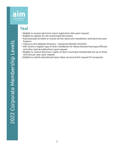

## **Teal**

- Eligible to receive electronic event registration lists upon request
- Eligible to register for all unrestricted Aim events
- Automatically enrolled to receive all Aim electronic newsletters and electronic publications
- Listing on Aim Website Directory Corporate Member Portfolio
- Will receive a digital copy of Aim's Handbook for Newly Elected Municipal Officials and other special publications upon request
- Eligible to receive electronic copies of Aim's municipal membership list up to three (3) times per year upon request
- Eligible to submit educational topics ideas via annual Aim request for proposals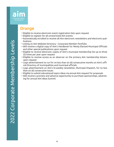

#### **Orange**

- Eligible to receive electronic event registration lists upon request
- Eligible to register for all unrestricted Aim events
- Automatically enrolled to receive all Aim electronic newsletters and electronic publications
- Listing on Aim Website Directory Corporate Member Portfolio
- Will receive a digital copy of Aim's Handbook for Newly Elected Municipal Officials and other special publications upon request
- Eligible to receive electronic copies of Aim's municipal membership list up to three (3) times per year upon request
- Eligible to receive access as an observer on the primary Aim membership listserv upon request
- Logo advertisement to run for no less than six (6) consecutive months on Aim's official Directory of municipalities and municipal officials
- Logo advertisement on Aim's bi-weekly newsletter, Municipal Dispatch, for no less than six (6) consecutive issues
- Eligible to submit educational topics ideas via annual Aim request for proposals
- Will receive a preview and advance opportunity to purchase sponsorships, advertising for annual Aim Ideas Summit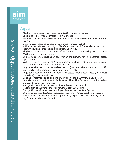

#### Aqua

- Eligible to receive electronic event registration lists upon request
- Eligible to register for all unrestricted Aim events
- Automatically enrolled to receive all Aim electronic newsletters and electronic publications
- Listing on Aim Website Directory Corporate Member Portfolio
- Will receive a print copy and digital file of Aim's Handbook for Newly Elected Municipal Officials and other special publications upon request
- Eligible to receive electronic copies of Aim's municipal membership list up to three (3) times per year upon request
- Eligible to receive access as an observer on the primary Aim membership listserv upon request
- Will receive one (1) copy of all Aim membership mailings sent via USPS, such as registration brochures and miscellaneous notices
- Logo advertisement to run for no less than six (6) consecutive months on Aim's official Directory of municipalities and municipal officials
- Logo advertisement on Aim's bi-weekly newsletter, Municipal Dispatch, for no less than six (6) consecutive issues
- Logo advertisement on all editions of Aim's Legislative Summary e-newsletter
- One (1) banner advertisement displayed on Aim's The Terminal to run for no less than six (6) consecutive months
- Recognition as a Silver Sponsor of Aim Clerk-Treasurers School
- Recognition as a Silver Sponsor of Aim Municipal Law Seminar
- Recognition as a Bronze Level Municipal Management Institute Sponsor
- Eligible to submit educational topics ideas via annual Aim request for proposals
- Will receive a preview and advance opportunity to purchase sponsorships, advertising for annual Aim Ideas Summit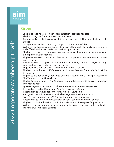

#### Green

- Eligible to receive electronic event registration lists upon request
- Eligible to register for all unrestricted Aim events
- Automatically enrolled to receive all Aim electronic newsletters and electronic publications
- Listing on Aim Website Directory Corporate Member Portfolio
- Will receive a print copy and digital file of Aim's Handbook for Newly Elected Municipal Officials and other special publications upon request
- Eligible to receive electronic copies of Aim's municipal membership list up to six (6) times per year upon request
- Eligible to receive access as an observer on the primary Aim membership listserv upon request
- Will receive one (1) copy of all Aim membership mailings sent via USPS, such as registration brochures and miscellaneous notices
- Logo advertisement on two (2) Aim membership blast emails
- Eligible to submit one (1) 15-30 second audio advertisement for an Aim Quick Guide training video
- Eligible to provide two (2) Sponsored Content articles in Aim's Municipal Dispatch or The Terminal on the Aim website
- Eligible to submit one (1) 15-20 second audio advertisements on Aim Hometown Innovations Podcast
- Quarter page color ad in two (2) Aim Hometown Innovations E-Magazines
- Recognition as a Gold Sponsor of Aim Clerk-Treasurers School
- Recognition as a Gold Sponsor of Aim Municipal Law Seminar
- Recognition as a Silver Level Municipal Management Institute Sponsor
- Two (2) registrations at one (1) Aim hot topic in-person workshop
- Recognition as an Aim Youth Councils Network Leadership Summit Sponsor
- Eligible to submit educational topics ideas via annual Aim request for proposals
- Will receive a preview and advance opportunity to purchase sponsorships, advertising for annual Aim Ideas Summit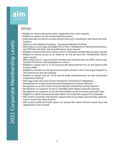

#### Silver

- Eligible to receive electronic event registration lists upon request
- Eligible to register for all unrestricted Aim events
- Automatically enrolled to receive all Aim electronic newsletters and electronic publications
- Listing on Aim Website Directory Corporate Member Portfolio
- Will receive a print copy and digital file of Aim's Handbook for Newly Elected Municipal Officials and other special publications upon request
- Eligible to receive electronic copies of Aim's municipal membership list upon request
- Eligible to receive access as an observer on the primary Aim membership listserv upon request
- Will receive one (1) copy of all Aim membership mailings sent via USPS, such as registration brochures and miscellaneous notices
- Eligible to submit one (1) 15-30 second audio advertisement for an Aim Quick Guide training video
- Eligible to provide two (2) Sponsored Content articles in Aim's Municipal Dispatch or The Terminal on the Aim website
- Eligible to submit two (2) 15-20 second audio advertisements on Aim Hometown Innovations Podcast
- Half page color ad in two (2) Aim Hometown Innovations E-Magazines
- Recognition as a Gold Level Municipal Management Institute Sponsor
- Recognition as an Aim Youth Councils Network Leadership Summit Sponsor
- Recognition as a sponsor of one (1) Aim/Ball State Mayors Institute sessions
- Recognition as a sponsor of the Aim Roundtable series for towns and small cities
- Eligible to submit educational topics ideas via annual Aim request for proposals
- Will receive a preview and advance opportunity to purchase sponsorships, advertising for annual Aim Ideas Summit
- Will receive preferred booth space for annual Aim Ideas Summit; booth fees and registrations not included